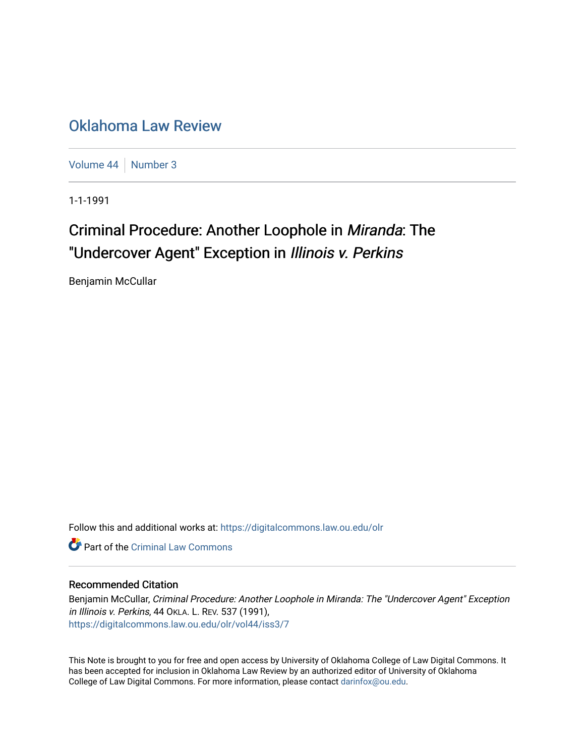## [Oklahoma Law Review](https://digitalcommons.law.ou.edu/olr)

[Volume 44](https://digitalcommons.law.ou.edu/olr/vol44) | [Number 3](https://digitalcommons.law.ou.edu/olr/vol44/iss3)

1-1-1991

# Criminal Procedure: Another Loophole in Miranda: The "Undercover Agent" Exception in Illinois v. Perkins

Benjamin McCullar

Follow this and additional works at: [https://digitalcommons.law.ou.edu/olr](https://digitalcommons.law.ou.edu/olr?utm_source=digitalcommons.law.ou.edu%2Folr%2Fvol44%2Fiss3%2F7&utm_medium=PDF&utm_campaign=PDFCoverPages)

**C** Part of the Criminal Law Commons

## Recommended Citation

Benjamin McCullar, Criminal Procedure: Another Loophole in Miranda: The "Undercover Agent" Exception in Illinois v. Perkins, 44 OKLA. L. REV. 537 (1991), [https://digitalcommons.law.ou.edu/olr/vol44/iss3/7](https://digitalcommons.law.ou.edu/olr/vol44/iss3/7?utm_source=digitalcommons.law.ou.edu%2Folr%2Fvol44%2Fiss3%2F7&utm_medium=PDF&utm_campaign=PDFCoverPages) 

This Note is brought to you for free and open access by University of Oklahoma College of Law Digital Commons. It has been accepted for inclusion in Oklahoma Law Review by an authorized editor of University of Oklahoma College of Law Digital Commons. For more information, please contact [darinfox@ou.edu.](mailto:darinfox@ou.edu)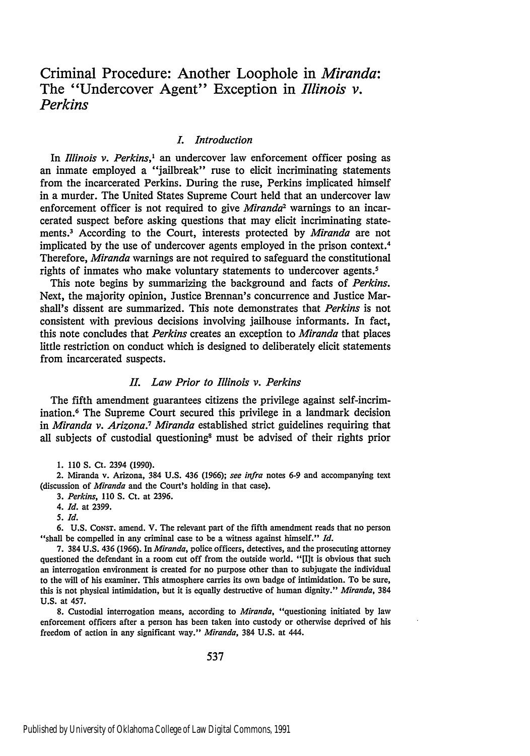## Criminal Procedure: Another Loophole in *Miranda:* The "Undercover Agent" Exception in *Illinois v. Perkins*

#### *I. Introduction*

In *Illinois v. Perkins,'* an undercover law enforcement officer posing as an inmate employed a "jailbreak" ruse to elicit incriminating statements from the incarcerated Perkins. During the ruse, Perkins implicated himself in a murder. The United States Supreme Court held that an undercover law enforcement officer is not required to give *Miranda*<sup>2</sup> warnings to an incarcerated suspect before asking questions that may elicit incriminating statements.3 According to the Court, interests protected by *Miranda* are not implicated by the use of undercover agents employed in the prison context.<sup>4</sup> Therefore, *Miranda* warnings are not required to safeguard the constitutional rights of inmates who make voluntary statements to undercover agents.<sup>5</sup>

This note begins by summarizing the background and facts of *Perkins.* Next, the majority opinion, Justice Brennan's concurrence and Justice Marshall's dissent are summarized. This note demonstrates that *Perkins* is not consistent with previous decisions involving jailhouse informants. In fact, this note concludes that *Perkins* creates an exception to *Miranda* that places little restriction on conduct which is designed to deliberately elicit statements from incarcerated suspects.

#### *II. Law Prior to Illinois v. Perkins*

The fifth amendment guarantees citizens the privilege against self-incrimination.6 The Supreme Court secured this privilege in a landmark decision in *Miranda v. Arizona.7 Miranda* established strict guidelines requiring that all subjects of custodial questioning' must be advised of their rights prior

**1.** 110 S. Ct. 2394 (1990).

2. Miranda v. Arizona, 384 U.S. 436 (1966); *see infra* notes 6-9 and accompanying text (discussion of *Miranda* and the Court's holding in that case).

*3. Perkins,* 110 S. Ct. at 2396.

*4. Id.* at 2399.

*5. Id.*

6. U.S. CoNsr. amend. V. The relevant part of the fifth amendment reads that no person "shall be compelled in any criminal case to be a witness against himself." *Id.*

7. 384 U.S. 436 (1966). In *Miranda,* police officers, detectives, and the prosecuting attorney questioned the defendant in a room cut off from the outside world. "[I]t is obvious that such an interrogation environment is created for no purpose other than to subjugate the individual to the will of his examiner. This atmosphere carries its own badge of intimidation. To be sure, this is not physical intimidation, but it is equally destructive of human dignity." *Miranda,* 384 U.S. at 457.

8. Custodial interrogation means, according to *Miranda,* "questioning initiated by law enforcement officers after a person has been taken into custody or otherwise deprived of his freedom of action in any significant way." *Miranda,* 384 U.S. at 444.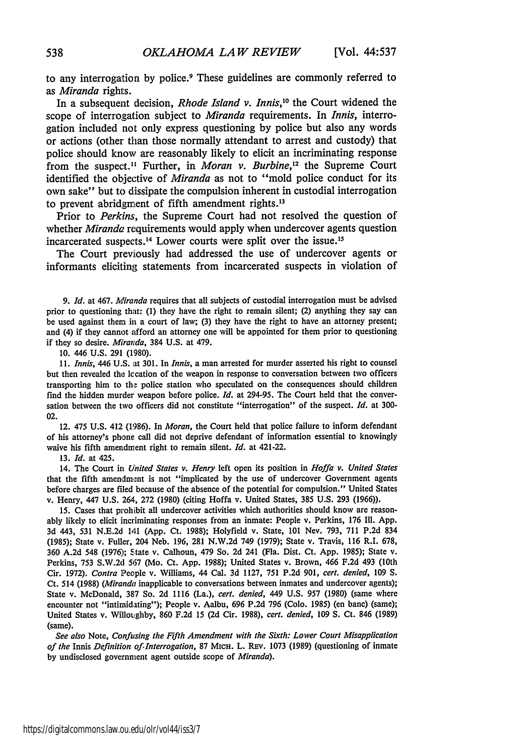to any interrogation **by** police.9 These guidelines are commonly referred to *as Miranda* rights.

In a subsequent decision, *Rhode Island v. Innis,10* the Court widened the scope of interrogation subject to *Miranda* requirements. In *Innis,* interrogation included not only express questioning **by** police but also any words or actions (other than those normally attendant to arrest and custody) that police should know are reasonably likely to elicit an incriminating response from the suspect." Further, in *Moran v. Burbine,2* the Supreme Court identified the objective of *Miranda* as not to "mold police conduct for its own sake" but to dissipate the compulsion inherent in custodial interrogation to prevent abridgment of fifth amendment rights.<sup>13</sup>

Prior to *Perkins,* the Supreme Court had not resolved the question of whether *Miranda* requirements would apply when undercover agents question incarcerated suspects.<sup>14</sup> Lower courts were split over the issue.<sup>15</sup>

The Court previously had addressed the use of undercover agents or informants eliciting statements from incarcerated suspects in violation of

*9. Id.* at 467. *Miranda* requires that all subjects of custodial interrogation must be advised prior to questioning that: (1) they have the right to remain silent; (2) anything they say can be used against them in a court of law; (3) they have the right to have an attorney present; and (4) if they cannot afford an attorney one will be appointed for them prior to questioning if they so desire. *Miranda,* 384 U.S. at 479.

**10.** 446 U.S. 291 (1980).

*11. Innis,* 446 U.S. at 301. In Innis, a man arrested for murder asserted his right to counsel but then revealed the Iccation of the weapon in response to conversation between two officers transporting him to the police station who speculated on the consequences should children find the hidden murder weapon before police. *Id.* at 294-95. The Court held that the conversation between the two officers did not constitute "interrogation" of the suspect. *Id.* at 300- 02.

12. 475 U.S. 412 (1986). In *Moran,* the Court held that police failure to inform defendant of his attorney's phone call did not deprive defendant of information essential to knowingly waive his fifth amendment right to remain silent. *Id.* at 421-22.

13. *Id.* at 425.

14. The Court in *United States v. Henry* left open its position in *Hoffa v. United States* that the fifth amendment is not "implicated by the use of undercover Government agents before charges are filed because of the absence of the potential for compulsion." United States v. Henry, 447 U.S. 264, 272 (1980) (citing Hoffa v. United States, 385 U.S. 293 (1966)).

15. Cases that prohibit all undercover activities which authorities should know are reasonably likely to elicit incriminating responses from an inmate: People v. Perkins, 176 **I11.** App. 3d 443, 531 N.E.2d 141 (App. Ct. 1988); Holyfield v. State, 101 Nev. 793, 711 P.2d 834 (1985); State v. Fuller, 204 Neb. 196, 281 N.W.2d 749 (1979); State v. Travis, 116 R.I. 678, 360 A.2d 548 (1976); State v. Calhoun, 479 So. 2d 241 (Fla. Dist. Ct. App. 1985); State v. Perkins, 753 S.W.2d 567 (Mo. Ct. App. 1988); United States v. Brown, 466 F.2d 493 (10th Cir. 1972). *Contra* People v. Williams, 44 Cal. 3d 1127, 751 P.2d **901,** cert. denied, **109 S.** Ct. 514 (1988) *(Miranda* inapplicable to conversations between inmates and undercover agents); State v. McDonald, 387 So. 2d 1116 (La.), cert. *denied,* 449 U.S. 957 (1980) (same where encounter not "intimidating"); People v. Aalbu, 696 P.2d 796 (Colo. 1985) (en banc) (same); United States v. WilloLghby, 860 F.2d 15 (2d Cir. **1988),** cert. denied, **109 S.** Ct. 846 (1989) (same).

*See also* Note, *Confusing the Fifth Amendment with the Sixth: Lower Court Misapplication of the* Innis *Definition of.Interrogation,* **87** MIcH. L. REv. **1073** (1989) (questioning of inmate by undisclosed government agent outside scope of *Miranda).*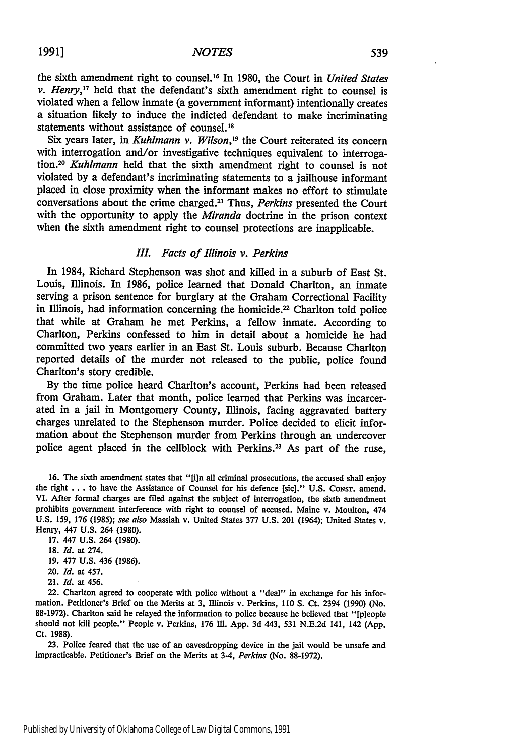the sixth amendment right to counsel.16 In 1980, the Court in *United States v. Henry,17* held that the defendant's sixth amendment right to counsel is violated when a fellow inmate (a government informant) intentionally creates a situation likely to induce the indicted defendant to make incriminating statements without assistance of counsel.<sup>18</sup>

Six years later, in *Kuhlmann v. Wilson*,<sup>19</sup> the Court reiterated its concern with interrogation and/or investigative techniques equivalent to interroga*tion.2 0 Kuhlmann* held that the sixth amendment right to counsel is not violated by a defendant's incriminating statements to a jailhouse informant placed in close proximity when the informant makes no effort to stimulate conversations about the crime charged. <sup>2</sup> ' Thus, *Perkins* presented the Court with the opportunity to apply the *Miranda* doctrine in the prison context when the sixth amendment right to counsel protections are inapplicable.

### *I. Facts of Illinois v. Perkins*

In 1984, Richard Stephenson was shot and killed in a suburb of East St. Louis, Illinois. In 1986, police learned that Donald Charlton, an inmate serving a prison sentence for burglary at the Graham Correctional Facility in Illinois, had information concerning the homicide.<sup>22</sup> Charlton told police that while at Graham he met Perkins, a fellow inmate. According to Charlton, Perkins confessed to him in detail about a homicide he had committed two years earlier in an East St. Louis suburb. Because Charlton reported details of the murder not released to the public, police found Charlton's story credible.

By the time police heard Charlton's account, Perkins had been released from Graham. Later that month, police learned that Perkins was incarcerated in a jail in Montgomery County, Illinois, facing aggravated battery charges unrelated to the Stephenson murder. Police decided to elicit information about the Stephenson murder from Perkins through an undercover police agent placed in the cellblock with Perkins.<sup>23</sup> As part of the ruse,

16. The sixth amendment states that "[i]n all criminal prosecutions, the accused shall enjoy the right . . . to have the Assistance of Counsel for his defence [sic]." U.S. Consr. amend. VI. After formal charges are filed against the subject of interrogation, the sixth amendment prohibits government interference with right to counsel of accused. Maine v. Moulton, 474 U.S. 159, 176 (1985); see also Massiah v. United States 377 U.S. 201 (1964); United States v. Henry, 447 U.S. 264 (1980).

- 17. 447 U.S. 264 (1980).
- 18. *Id.* at 274.
- 19. 477 U.S. 436 (1986).
- 20. *Id.* at 457.
- 21. *Id.* at 456.

22. Charlton agreed to cooperate with police without a "deal" in exchange for his information. Petitioner's Brief on the Merits at 3, Illinois v. Perkins, 110 **S.** Ct. 2394 (1990) (No. 88-1972). Charlton said he relayed the information to police because he believed that "[pleople should not kill people." People v. Perkins, 176 Il. **App.** 3d 443, 531 N.E.2d 141, 142 **(App.** Ct. 1988).

23. Police feared that the use of an eavesdropping device in the jail would be unsafe and impracticable. Petitioner's Brief on the Merits at 3-4, *Perkins* (No. 88-1972).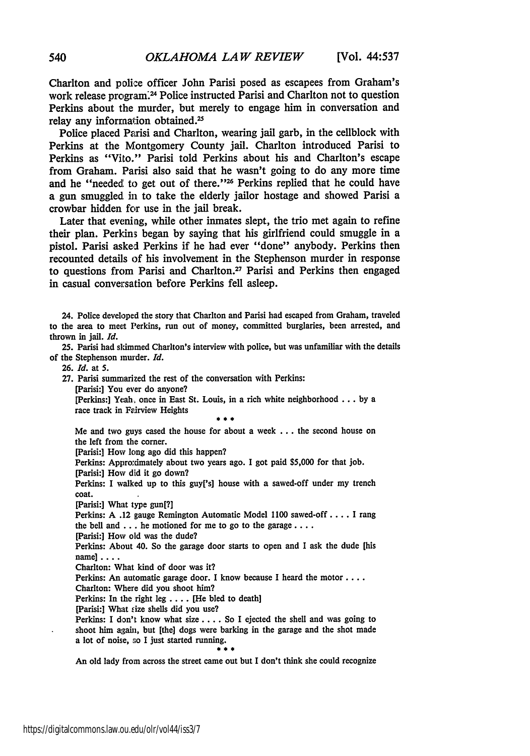Charlton and police officer John Parisi posed as escapees from Graham's work release program.<sup>24</sup> Police instructed Parisi and Charlton not to question Perkins about the murder, but merely to engage him in conversation and relay any information obtained.<sup>25</sup>

Police placed Parisi and Charlton, wearing jail garb, in the cellblock with Perkins at the Montgomery County jail. Charlton introduced Parisi to Perkins as "Vito." Parisi told Perkins about his and Charlton's escape from Graham. Parisi also said that he wasn't going to do any more time and he "needed to get out of there."<sup>25</sup> Perkins replied that he could have a gun smuggled in to take the elderly jailor hostage and showed Parisi a crowbar hidden for use in the jail break.

Later that evening, while other inmates slept, the trio met again to refine their plan. Perkins began **by** saying that his girlfriend could smuggle in a pistol. Parisi asked Perkins if he had ever "done" anybody. Perkins then recounted details of his involvement in the Stephenson murder in response to questions from Parisi and Charlton.<sup>27</sup> Parisi and Perkins then engaged in casual conversation before Perkins fell asleep.

24. Police developed the story that Charlton and Parisi had escaped from Graham, traveled to the area to meet Perkins, run out of money, committed burglaries, been arrested, and thrown in jail. *Id.*

**25.** Parisi had skimmed Chariton's interview with police, but was unfamiliar with the details of the Stephenson murder. *Id.*

**26.** *Id.* at **5.**

**27.** Parisi summarized the rest of the conversation with Perkins:

[Parisi:] You ever do anyone?

[Perkins:] Yeah, once in East St. Louis, in a rich white neighborhood **... by** a race track in Feirview Heights

Me and two guys cased the house for about a week **...** the second house on

the left from the corner.

[Parisi:] How long ago did this happen?

Perkins: Approximately about two years ago. I got paid \$5,000 for that job.

[Parisi:] How did it go down?

Perkins: **I** walked up to this guy['s] house with a sawed-off under my trench coat.

[Parisi:] What type gun[?]

Perkins: **A** .12 gauge Remington Automatic Model **1100** sawed-off .... I rang the bell and **...** he motioned for me to go to the garage ....

[Parisi:] How old was the dude?

Perkins: About 40. So the garage door starts to open and I ask the dude [his name] ....

Charlton: What kind of door was it?

Perkins: An automatic garage door. I know because **I** heard the motor ....

Charlton: Where did you shoot him?

Perkins: In the right leg .... [He bled to death]

[Parisi:] What size shells did you use?

Perkins: **I** don't know what **size** .... So I ejected the shell and was going to shoot him again, but [the] dogs were barking in the garage and the shot made a lot of noise, so I just started running.

 $* * :$ An old lady from across the street came out but I don't think she could recognize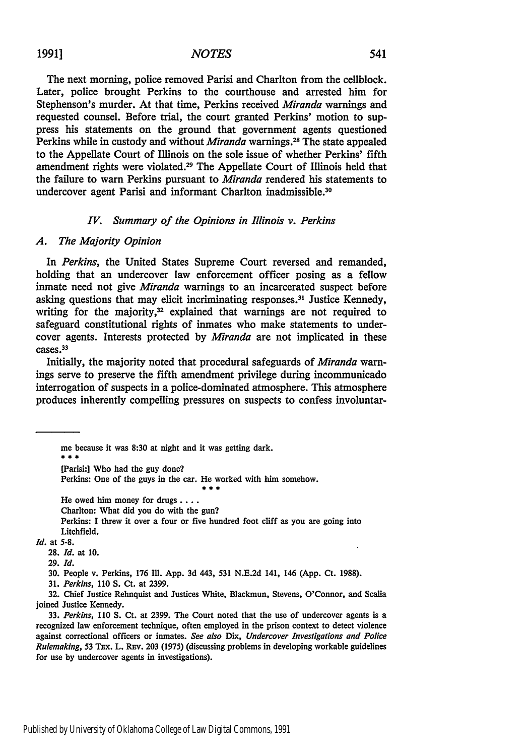## 1991] *NOTES* 541

The next morning, police removed Parisi and Charlton from the cellblock. Later, police brought Perkins to the courthouse and arrested him for Stephenson's murder. At that time, Perkins received *Miranda* warnings and requested counsel. Before trial, the court granted Perkins' motion to suppress his statements on the ground that government agents questioned Perkins while in custody and without *Miranda* warnings.28 The state appealed to the Appellate Court of Illinois on the sole issue of whether Perkins' fifth amendment rights were violated.29 The Appellate Court of Illinois held that the failure to warn Perkins pursuant to *Miranda* rendered his statements to undercover agent Parisi and informant Charlton inadmissible.<sup>30</sup>

#### *IV. Summary of the Opinions in Illinois v. Perkins*

#### *A. The Majority Opinion*

In *Perkins,* the United States Supreme Court reversed and remanded, holding that an undercover law enforcement officer posing as a fellow inmate need not give *Miranda* warnings to an incarcerated suspect before asking questions that may elicit incriminating responses.<sup>31</sup> Justice Kennedy, writing for the majority, $32$  explained that warnings are not required to safeguard constitutional rights of inmates who make statements to undercover agents. Interests protected by *Miranda* are not implicated in these cases.33

Initially, the majority noted that procedural safeguards of *Miranda* warnings serve to preserve the fifth amendment privilege during incommunicado interrogation of suspects in a police-dominated atmosphere. This atmosphere produces inherently compelling pressures on suspects to confess involuntar-

me because it was 8:30 at night and it was getting dark. [Parisi:] Who had the guy done? Perkins: One of the guys in the car. He worked with him somehow.

He owed him money for drugs ....

Charlton: What did you do with the gun?

Perkins: I threw it over a four or five hundred foot cliff as you are going into Litchfield.

 $\pm$   $\pm$   $\pm$ 

*Id.* at 5-8.

**28.** *Id.* at 10.

**29.** *Id.*

30. People v. Perkins, 176 Ill. **App. 3d** 443, **531** N.E.2d 141, 146 **(App.** Ct. 1988).

**31.** *Perkins,* 110 S. Ct. at 2399.

**32.** Chief Justice Rehnquist and Justices White, Blackmun, Stevens, O'Connor, and Scalia joined Justice Kennedy.

**33.** *Perkins, 110* **S.** Ct. at 2399. The Court noted that the use of undercover agents is a recognized law enforcement technique, often employed in the prison context to detect violence against correctional officers or inmates. *See also Dix, Undercover Investigations and Police Rulemaking,* 53 Tax. L. Ray. **203** (1975) (discussing problems in developing workable guidelines for use by undercover agents in investigations).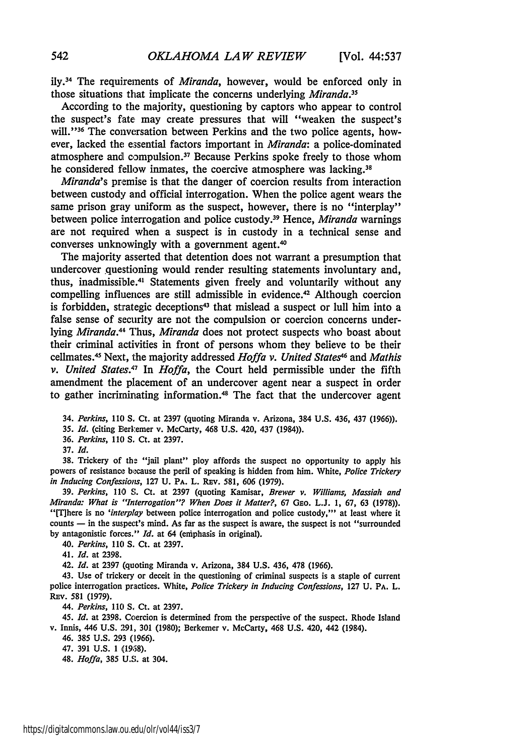ily.34 The requirements of *Miranda,* however, would be enforced only in those situations that implicate the concerns underlying *Miranda."*

According to the majority, questioning by captors who appear to control the suspect's fate may create pressures that will "weaken the suspect's will."<sup>36</sup> The conversation between Perkins and the two police agents, however, lacked the essential factors important in *Miranda:* a police-dominated atmosphere and compulsion. 37 Because Perkins spoke freely to those whom he considered fellow inmates, the coercive atmosphere was lacking.<sup>38</sup>

*Miranda's* premise is that the danger of coercion results from interaction between custody and official interrogation. When the police agent wears the same prison gray uniform as the suspect, however, there is no "interplay" between police interrogation and police custody. 39 Hence, *Miranda* warnings are not required when a suspect is in custody in a technical sense and converses unknowingly with a government agent.<sup>40</sup>

The majority asserted that detention does not warrant a presumption that undercover questioning would render resulting statements involuntary and, thus, inadmissible.<sup>41</sup> Statements given freely and voluntarily without any compelling influences are still admissible in evidence.<sup>42</sup> Although coercion is forbidden, strategic deceptions<sup>43</sup> that mislead a suspect or lull him into a false sense of security are not the compulsion or coercion concerns underlying *Miranda.41* Thus, *Miranda* does not protect suspects who boast about their criminal activities in front of persons whom they believe to be their cellmates. 45 Next, the majority addressed *Hoffa v. United States <sup>6</sup>*and *Mathis v. United States.47* In *Hoffa,* the Court held permissible under the fifth amendment the placement of an undercover agent near a suspect in order to gather incriminating information. 48 The fact that the undercover agent

34. *Perkins,* **110 S.** Ct. at 2397 (quoting Miranda v. Arizona, 384 U.S. 436, 437 (1966)).

**35.** *Id.* (citing Berlkemer v. McCarty, 468 **U.S.** 420, 437 (1984)).

36. *Perkins,* 110 **S.** Ct. at **2397.**

**37. Id.**

**38.** Trickery of the "jail plant" ploy affords the suspect no opportunity to apply his powers of resistance bi.cause the peril of speaking is hidden from him. White, *Police Trickery in Inducing Confessions,* 127 **U.** PA. L. REv. 581, **606** (1979).

39. *Perkins,* 110 S. Ct. at 2397 (quoting Kamisar, *Brewer v. Williams, Massiah and Miranda: What is "Interrogation"? When Does it Matter?,* 67 GEO. L.J. **1,** 67, **63** (1978)). "[Tihere is no *'interplay* between police interrogation and police custody,"' at least where it counts **-** in the suspect's mind. As far as the suspect is aware, the suspect is not "surrounded by antagonistic forces." *Id.* at 64 (eniphasis in original).

*40. Perkins, 110* **S.** Ct. at 2397.

41. *Id.* at 2398.

42. *Id.* at 2397 (quoting Miranda v. Arizona, 384 U.S. 436, **478** (1966).

43. Use of trickery or deceit in the questioning of criminal suspects is a staple of current police interrogation practices. White, *Police Trickery in Inducing Confessions,* 127 **U.** PA. L. REv. 581 (1979).

*44. Perkins,* **110 S&** Ct. at **2397.**

45. *Id.* at **2398.** Coercion is determined from the perspective of the suspect. Rhode Island v. Innis, 446 **U.S.** 291, 301 **(1980);** Berkemer v. McCarty, 468 **U.S.** 420, 442 (1984).

46. **385 U.S. 293 (1966).**

47. **391 U.S. 1 (1958).**

48. *Hoffa,* **385 U.S.** at 304.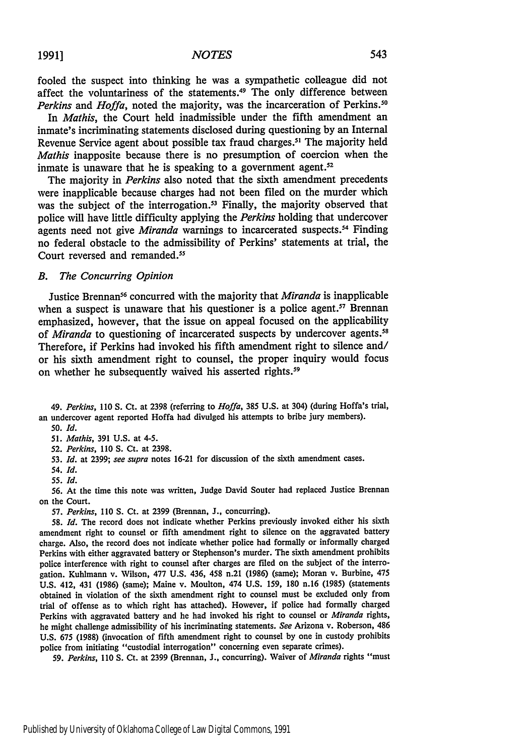fooled the suspect into thinking he was a sympathetic colleague did not affect the voluntariness of the statements.<sup>49</sup> The only difference between *Perkins* and *Hoffa*, noted the majority, was the incarceration of Perkins.<sup>50</sup>

In *Mathis,* the Court held inadmissible under the fifth amendment an inmate's incriminating statements disclosed during questioning **by** an Internal Revenue Service agent about possible tax fraud charges.<sup>51</sup> The majority held *Mathis* inapposite because there is no presumption of coercion when the inmate is unaware that he is speaking to a government agent. $52$ 

The majority in *Perkins* also noted that the sixth amendment precedents were inapplicable because charges had not been filed on the murder which was the subject of the interrogation.<sup>53</sup> Finally, the majority observed that police will have little difficulty applying the *Perkins* holding that undercover agents need not give *Miranda* warnings to incarcerated suspects.<sup>54</sup> Finding no federal obstacle to the admissibility of Perkins' statements at trial, the Court reversed and remanded.<sup>55</sup>

#### *B. The Concurring Opinion*

Justice Brennan<sup>56</sup> concurred with the majority that *Miranda* is inapplicable when a suspect is unaware that his questioner is a police agent.<sup>57</sup> Brennan emphasized, however, that the issue on appeal focused on the applicability of *Miranda* to questioning of incarcerated suspects **by** undercover agents.58 Therefore, if Perkins had invoked his fifth amendment right to silence and/ or his sixth amendment right to counsel, the proper inquiry would focus on whether he subsequently waived his asserted rights.<sup>59</sup>

49. *Perkins, 110* S. Ct. at 2398 (referring to *Hoffa,* 385 U.S. at 304) (during Hoffa's trial, an undercover agent reported Hoffa had divulged his attempts to bribe jury members).

*50. Id.*

51. *Mathis,* 391 U.S. at 4-5.

52. *Perkins,* 110 **S.** Ct. at 2398.

53. *Id.* at 2399; *see supra* notes 16-21 for discussion of the sixth amendment cases.

54. *Id.*

55. **Id.**

56. At the time this note was written, Judge David Souter had replaced Justice Brennan on the Court.

57. *Perkins,* 110 **S.** Ct. at 2399 (Brennan, J., concurring).

58. *Id.* The record does not indicate whether Perkins previously invoked either his sixth amendment right to counsel or fifth amendment right to silence on the aggravated battery charge. Also, the record does not indicate whether police had formally or informally charged Perkins with either aggravated battery or Stephenson's murder. The sixth amendment prohibits police interference with right to counsel after charges are filed on the subject of the interrogation. Kuhlmann v. Wilson, 477 U.S. 436, 458 n.21 (1986) (same); Moran v. Burbine, 475 U.S. 412, 431 (1986) (same); Maine v. Moulton, 474 U.S. 159, 180 n.16 (1985) (statements obtained in violation of the sixth amendment right to counsel must be excluded only from trial of offense as to which right has attached). However, if police had formally charged Perkins with aggravated battery and he had invoked his right to counsel or *Miranda* rights, he might challenge admissibility of his incriminating statements. *See* Arizona v. Roberson, 486 U.S. 675 (1988) (invocation of fifth amendment right to counsel by one in custody prohibits police from initiating "custodial interrogation" concerning even separate crimes).

59. Perkins, 110 **S.** Ct. at 2399 (Brennan, **J.,** concurring). Waiver of *Miranda* rights "must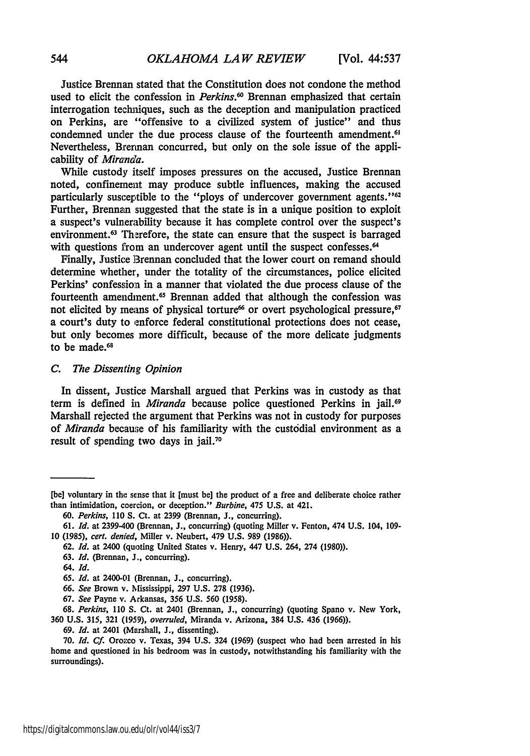Justice Brennan stated that the Constitution does not condone the method used to elicit the confession in *Perkins*.<sup>60</sup> Brennan emphasized that certain interrogation techniques, such as the deception and manipulation practiced on Perkins, are "offensive to a civilized system of justice" and thus condemned under the due process clause of the fourteenth amendment.<sup>6</sup> Nevertheless, Brennan concurred, but only on the sole issue of the applicability of *Miranda.*

While custody itself imposes pressures on the accused, Justice Brennan noted, confinement may produce subtle influences, making the accused particularly susceptible to the "ploys of undercover government agents."<sup>62</sup> Further, Brennan suggested that the state is in a unique position to exploit a suspect's vulnerability because it has complete control over the suspect's environment.<sup>63</sup> Therefore, the state can ensure that the suspect is barraged with questions from an undercover agent until the suspect confesses.<sup>64</sup>

Finally, Justice Brennan concluded that the lower court on remand should determine whether, under the totality of the circumstances, police elicited Perkins' confession in a manner that violated the due process clause of the fourteenth amendment.<sup>65</sup> Brennan added that although the confession was not elicited by means of physical torture<sup>66</sup> or overt psychological pressure,<sup>67</sup> a court's duty to enforce federal constitutional protections does not cease, but only becomes more difficult, because of the more delicate judgments to be made.<sup>68</sup>

#### *C. The Dissenting Opinion*

In dissent, Justice Marshall argued that Perkins was in custody as that term is defined in *Miranda* because police questioned Perkins in jail.<sup>69</sup> Marshall rejected the argument that Perkins was not in custody for purposes of *Miranda* because of his familiarity with the custodial environment as a result of spending two days in jail.<sup>70</sup>

**67.** *See* Payne v. Arkansas, **356 U.S. 560 (1958).**

**69.** *Id.* at 2401 (Marshall, **J.,** dissenting).

**<sup>[</sup>be]** voluntary in the sense that it [must be] the product of a free and deliberate choice rather than intimidation, coercion, or deception." *Burbine,* 475 **U.S.** at 421.

*<sup>60.</sup> Perkins, 110* **S.** Ct. at **2399** (Brennan, **J.,** concurring).

**<sup>61.</sup>** *Id.* at 2399-400 (Brennan, **J.,** concurring) (quoting Miller v. Fenton, 474 **U.S.** 104, **109- 10 (1985),** *cert. denied,* Miller v. Neubert, 479 **U.S. 989 (1986)).**

**<sup>62.</sup>** *Id.* at 2400 (quoting United States v. Henry, 447 **U.S.** 264, 274 **(1980)).**

**<sup>63.</sup>** *Id.* (Brennan, **J.,** concurring).

<sup>64.</sup> *Id.*

**<sup>65.</sup>** *Id.* at 2400-01 (Brennan, **J.,** concurring).

**<sup>66.</sup>** *See* Brown v. Mississippi, **297 U.S. 278 (1936).**

**<sup>68.</sup>** *Perkins,* **110 S.** Ct. at 2401 (Brennan, **J.,** concurring) (quoting Spano v. New York, **360 U.S. 315, 321 (1959),** *overruled,* Miranda v. Arizona, 384 **U.S.** 436 **(1966)).**

**<sup>70.</sup>** *Id. Cf.* Oroxco v. Texas, 394 **U.S.** 324 **(1969)** (suspect who had been arrested in his home and questioned in his bedroom was in custody, notwithstanding his familiarity with the surroundings).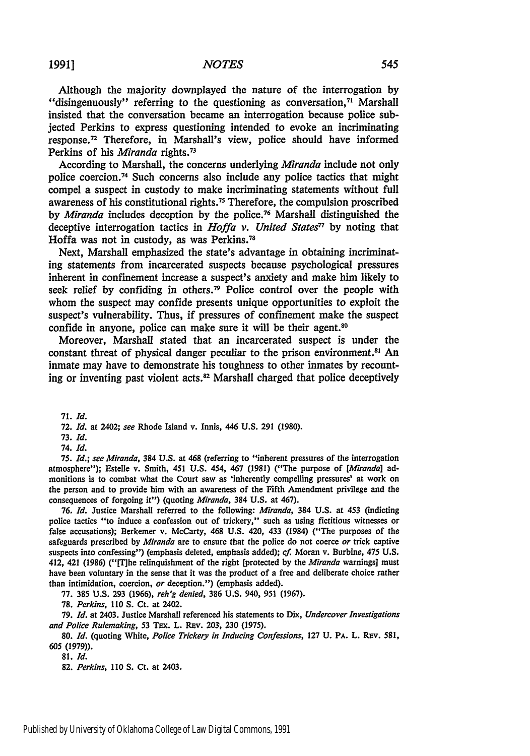**1991]**

Although the majority downplayed the nature of the interrogation **by** "disingenuously" referring to the questioning as conversation,<sup>71</sup> Marshall insisted that the conversation became an interrogation because police subjected Perkins to express questioning intended to evoke an incriminating response.72 Therefore, in Marshall's view, police should have informed Perkins of his *Miranda* rights.73

According to Marshall, the concerns underlying *Miranda* include not only police coercion.74 Such concerns also include any police tactics that might compel a suspect in custody to make incriminating statements without full awareness of his constitutional rights **. <sup>7</sup>**Therefore, the compulsion proscribed **by** *Miranda* includes deception **by** the police. 76 Marshall distinguished the deceptive interrogation tactics in *Hoffa v. United States<sup>77</sup>* by noting that Hoffa was not in custody, as was Perkins.78

Next, Marshall emphasized the state's advantage in obtaining incriminating statements from incarcerated suspects because psychological pressures inherent in confinement increase a suspect's anxiety and make him likely to seek relief **by** confiding in others.79 Police control over the people with whom the suspect may confide presents unique opportunities to exploit the suspect's vulnerability. Thus, if pressures of confinement make the suspect confide in anyone, police can make sure it will be their agent.<sup>80</sup>

Moreover, Marshall stated that an incarcerated suspect is under the constant threat of physical danger peculiar to the prison environment.<sup>81</sup> An inmate may have to demonstrate his toughness to other inmates **by** recounting or inventing past violent **acts.8 <sup>2</sup>**Marshall charged that police deceptively

**71.** *Id.*

*75. Id.; see Miranda,* 384 **U.S.** at 468 (referring to "inherent pressures of the interrogation atmosphere"); Estelle v. Smith, 451 U.S. 454, 467 (1981) ("The purpose of *[Miranda]* admonitions is to combat what the Court saw as 'inherently compelling pressures' at work on the person and to provide him with an awareness of the Fifth Amendment privilege and the consequences of forgoing it") (quoting *Miranda,* 384 **U.S.** at 467).

**76.** *Id.* Justice Marshall referred to the following: *Miranda,* 384 U.S. at 453 (indicting police tactics "to induce a confession out of trickery," such as using fictitious witnesses or false accusations); Berkemer v. McCarty, 468 **U.S.** 420, 433 (1984) ("The purposes of the safeguards prescribed **by** *Miranda* are to ensure that the police do not coerce *or* trick captive suspects into confessing") (emphasis deleted, emphasis added); *cf.* Moran v. Burbine, 475 U.S. 412, 421 (1986) ("IT]he relinquishment of the right [protected **by** the *Miranda* warnings] must have been voluntary in the sense that it was the product of a free and deliberate choice rather than intimidation, coercion, *or* deception.") (emphasis added).

'77. **385** U.S. 293 (1966), *reh'g denied,* **386** U.S. 940, 951 (1967).

**78.** *Perkins,* 110 **S.** Ct. at 2402.

**79.** *Id.* at 2403. Justice Marshall referenced his statements to Dix, *Undercover Investigations and Police Rulemaking,* **53** TFx. L. REv. **203,** 230 (1975).

80. *Id.* (quoting White, *Police Trickery in Inducing Confessions,* 127 **U.** PA. L. REv. **581, 605 (1979)).**

**81.** *Id.*

**82.** *Perkins,* **110 S.** Ct. at 2403.

**<sup>72.</sup>** *Id.* at 2402; see Rhode Island v. Innis, 446 **U.S. 291 (1980).**

**<sup>73.</sup>** *Id.*

*<sup>74.</sup> Id.*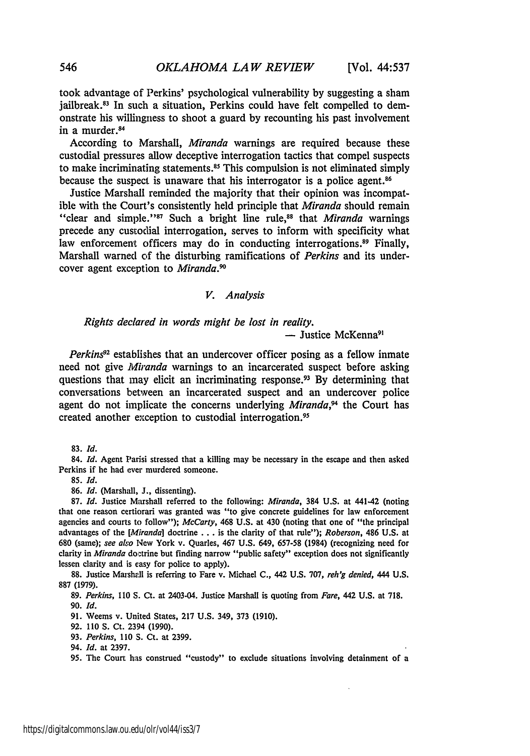took advantage of Perkins' psychological vulnerability by suggesting a sham jailbreak.<sup>83</sup> In such a situation, Perkins could have felt compelled to demonstrate his willingness to shoot a guard by recounting his past involvement in a murder.<sup>84</sup>

According to Marshall, *Miranda* warnings are required because these custodial pressures allow deceptive interrogation tactics that compel suspects to make incriminating statements.<sup>85</sup> This compulsion is not eliminated simply because the suspect is unaware that his interrogator is a police agent **. <sup>6</sup>**

Justice Marshall reminded the majority that their opinion was incompatible with the Court's consistently held principle that *Miranda* should remain "clear and simple."<sup>87</sup> Such a bright line rule,<sup>88</sup> that *Miranda* warnings precede any custodial interrogation, serves to inform with specificity what law enforcement officers may do in conducting interrogations.<sup>89</sup> Finally, Marshall warned of the disturbing ramifications of *Perkins* and its undercover agent exception to *Miranda.9*

#### *V. Analysis*

## *Rights declared in words might be lost in reality.* **-** Justice McKenna9'

*Perkins92* establishes that an undercover officer posing as a fellow inmate need not give *Miranda* warnings to an incarcerated suspect before asking questions that may elicit an incriminating response.<sup>93</sup> By determining that conversations between an incarcerated suspect and an undercover police agent do not implicate the concerns underlying *Miranda,9* the Court has created another exception to custodial interrogation. <sup>95</sup>

84. *Id.* Agent Parisi stressed that a killing may be necessary in the escape and then asked Perkins if he had ever murdered someone.

**85.** *Id.*

86. *Id.* (Marshall, **J.,** dissenting).

87. *Id.* Justice Marshall referred to the following: *Miranda,* 384 U.S. at 441-42 (noting that one reason certiorari was granted was "to give concrete guidelines for law enforcement agencies and courts to follow"); *McCarty,* 468 U.S. at 430 (noting that one of "the principal advantages of the *[Miranda]* doctrine **...** is the clarity of that rule"); *Roberson,* 486 U.S. at 680 (same); *see* also New York v. Quarles, 467 U.S. 649, 657-58 (1984) (recognizing need for clarity in *Miranda* doctrine but finding narrow "public safety" exception does not significantly lessen clarity and is easy for police to apply).

88. Justice Marshall is referring to Fare v. Michael C., 442 U.S. 707, *reh'g denied*, 444 U.S. **887 (1979).**

89. *Perkins,* 110 S. Ct. at 2403-04. Justice Marshall is quoting from *Fare,* 442 U.S. at 718. 90. *Id.*

91. Weems v. United States, 217 U.S. 349, **373** (1910).

92. 110 S. Ct. 2394 (1990).

93. *Perkins,* 110 S. Ct. at 2399.

95. The Court has construed "custody" to exclude situations involving detainment of a

**<sup>83.</sup>** *Id.*

<sup>94.</sup> *Id.* at **2397.**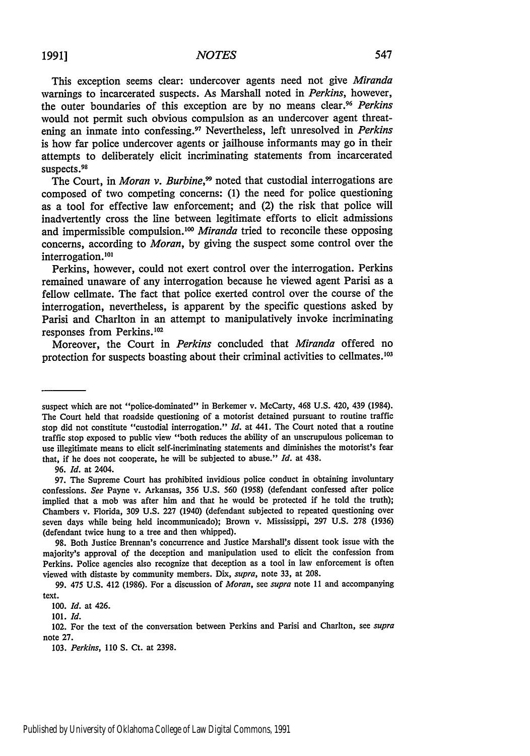This exception seems clear: undercover agents need not give *Miranda* warnings to incarcerated suspects. As Marshall noted in *Perkins,* however, the outer boundaries of this exception are by no means clear.<sup>96</sup> Perkins would not permit such obvious compulsion as an undercover agent threatening an inmate into confessing.97 Nevertheless, left unresolved in *Perkins* is how far police undercover agents or jailhouse informants may go in their attempts to deliberately elicit incriminating statements from incarcerated suspects.<sup>98</sup>

The Court, in *Moran v. Burbine*,<sup>99</sup> noted that custodial interrogations are composed of two competing concerns: **(1)** the need for police questioning as a tool for effective law enforcement; and (2) the risk that police will inadvertently cross the line between legitimate efforts to elicit admissions and impermissible compulsion.<sup>100</sup> *Miranda* tried to reconcile these opposing concerns, according to *Moran,* by giving the suspect some control over the interrogation.10'

Perkins, however, could not exert control over the interrogation. Perkins remained unaware of any interrogation because he viewed agent Parisi as a fellow cellmate. The fact that police exerted control over the course of the interrogation, nevertheless, is apparent by the specific questions asked by Parisi and Charlton in an attempt to manipulatively invoke incriminating responses from Perkins.'0<sup>2</sup>

Moreover, the Court in *Perkins* concluded that *Miranda* offered no protection for suspects boasting about their criminal activities to cellmates.103

**96.** *Id.* at 2404.

suspect which are not "police-dominated" in Berkemer v. McCarty, 468 U.S. 420, 439 (1984). The Court held that roadside questioning of a motorist detained pursuant to routine traffic stop did not constitute "custodial interrogation." *Id.* at 441. The Court noted that a routine traffic stop exposed to public view "both reduces the ability of an unscrupulous policeman to use illegitimate means to elicit self-incriminating statements and diminishes the motorist's fear that, if he does not cooperate, he will be subjected to abuse." *Id.* at 438.

**<sup>97.</sup>** The Supreme Court has prohibited invidious police conduct in obtaining involuntary confessions. *See* Payne v. Arkansas, 356 U.S. **560** (1958) (defendant confessed after police implied that a mob was after him and that he would be protected if he told the truth); Chambers v. Florida, **309** U.S. 227 (1940) (defendant subjected to repeated questioning over seven days while being held incommunicado); Brown v. Mississippi, 297 U.S. 278 (1936) (defendant twice hung to a tree and then whipped).

<sup>98.</sup> Both Justice Brennan's concurrence and Justice Marshall's dissent took issue with the majority's approval of the deception and manipulation used to elicit the confession from Perkins. Police agencies also recognize that deception as a tool in law enforcement is often viewed with distaste by community members. Dix, *supra,* note 33, at 208.

**<sup>99.</sup>** 475 **U.S.** 412 **(1986).** For a discussion of *Moran,* see *supra* note 11 and accompanying text.

*<sup>100.</sup> Id.* at 426.

<sup>101.</sup> *Id.*

<sup>102.</sup> For the text of the conversation between Perkins and Parisi and Charlton, see *supra* note **27.**

**<sup>103.</sup>** *Perkins,* **110 S.** Ct. at **2398.**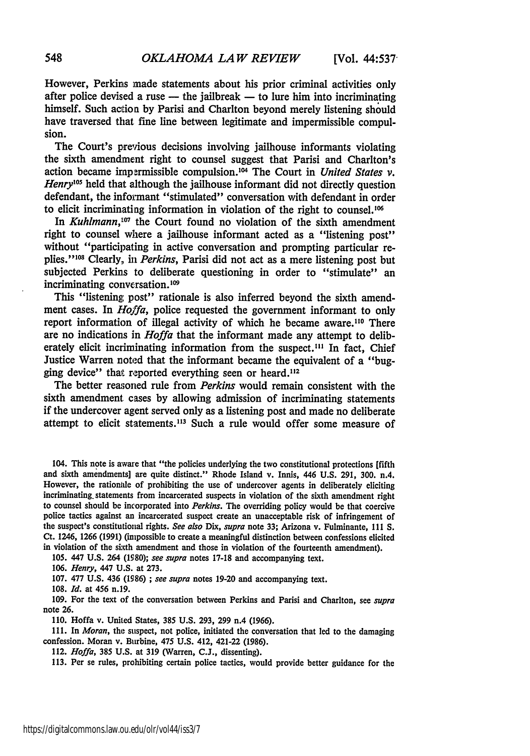However, Perkins made statements about his prior criminal activities only after police devised a ruse  $-$  the jailbreak  $-$  to lure him into incriminating himself. Such action **by** Parisi and Charlton beyond merely listening should have traversed that fine line between legitimate and impermissible compulsion.

The Court's previous decisions involving jailhouse informants violating the sixth amendment right to counsel suggest that Parisi and Charlton's action became irapermissible compulsion.'04 The Court in *United States v. Henry'0s* held that although the jailhouse informant did not directly question defendant, the informant "stimulated" conversation with defendant in order to elicit incriminating information in violation of the right to counsel.<sup>106</sup>

In *Kuhlmann*,<sup>107</sup> the Court found no violation of the sixth amendment right to counsel where a jailhouse informant acted as a "listening post" without "participating in active conversation and prompting particular replies."<sup>108</sup> Clearly, in *Perkins*, Parisi did not act as a mere listening post but subjected Perkins to deliberate questioning in order to "stimulate" an incriminating conversation.<sup>109</sup>

This "listening post" rationale is also inferred beyond the sixth amendment cases. In *Hoffa,* police requested the government informant to only report information of illegal activity of which he became aware.<sup>110</sup> There are no indications in *Hoffa* that the informant made any attempt to deliberately elicit incriminating information from the suspect.<sup>111</sup> In fact, Chief Justice Warren noted that the informant became the equivalent of a "bugging device" that reported everything seen or heard.<sup>112</sup>

The better reasoned rule from *Perkins* would remain consistent with the sixth amendment cases by allowing admission of incriminating statements if the undercover agent served only as a listening post and made no deliberate attempt to elicit statements.113 Such a rule would offer some measure of

104. This note is aware that "the policies underlying the two constitutional protections [fifth and sixth amendments] are quite distinct." Rhode Island v. Innis, 446 U.S. 291, 300. n.4. However, the rationale of prohibiting the use of undercover agents in deliberately eliciting incriminating, statements from incarcerated suspects in violation of the sixth amendment right to counsel should be incorporated into *Perkins.* The overriding policy would be that coercive police tactics against an incarcerated suspect create an unacceptable risk of infringement of the suspect's constitutional rights. *See also Dix, supra* note **33;** Arizona v. Fulminante, **Il1** S. Ct. 1246, 1266 (1991) (impossible to create a meaningful distinction between confessions elicited in violation of the sixth amendment and those in violation of the fourteenth amendment).

105. 447 U.S. 264 **(1980);** *see supra* notes 17-18 and accompanying text.

*106. Henry,* 447 U.S. at **273.**

107. 477 U.S. 436 (1986) ; *see supra* notes 19-20 and accompanying text.

108. *Id.* at 456 n.19.

109. For the text of the conversation between Perkins and Parisi and Charlton, see *supra* note **26.**

**110.** Hoffa v. United States, **385** U.S. **293, 299** n.4 (1966).

**111.** In *Moran,* the suspect, not police, initiated the conversation that led to the damaging confession. Moran v. Burbine, 475 U.S. 412, 421-22 (1986).

112. *Hoffa,* 385 U.S. at **319** (Warren, **C.J.,** dissenting).

**113.** Per se rules, prohibiting certain police tactics, would provide better guidance for the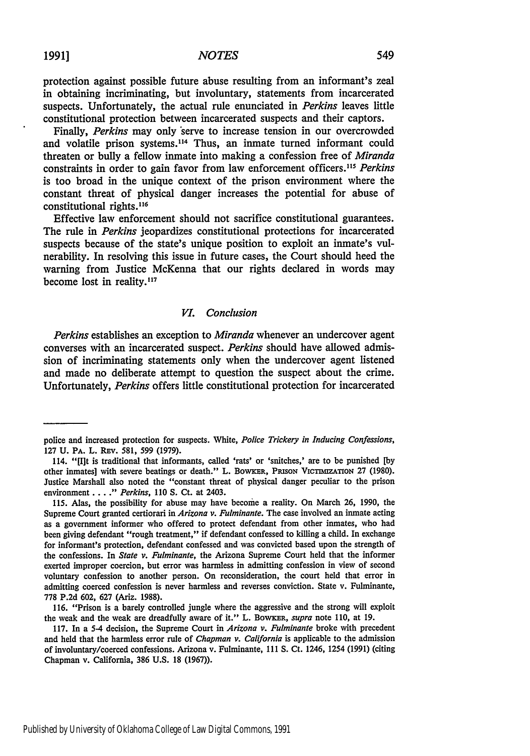**1991]** *NOTES* 549

protection against possible future abuse resulting from an informant's zeal in obtaining incriminating, but involuntary, statements from incarcerated suspects. Unfortunately, the actual rule enunciated in *Perkins* leaves little constitutional protection between incarcerated suspects and their captors.

Finally, *Perkins* may only 'serve to increase tension in our overcrowded and volatile prison systems.114 Thus, an inmate turned informant could threaten or bully a fellow inmate into making a confession free of *Miranda* constraints in order to gain favor from law enforcement officers."' *Perkins* is too broad in the unique context of the prison environment where the constant threat of physical danger increases the potential for abuse of constitutional rights.<sup>116</sup>

Effective law enforcement should not sacrifice constitutional guarantees. The rule in *Perkins* jeopardizes constitutional protections for incarcerated suspects because of the state's unique position to exploit an inmate's vulnerability. In resolving this issue in future cases, the Court should heed the warning from Justice McKenna that our rights declared in words may become lost in reality.<sup>117</sup>

#### *VI. Conclusion*

*Perkins* establishes an exception to *Miranda* whenever an undercover agent converses with an incarcerated suspect. *Perkins* should have allowed admission of incriminating statements only when the undercover agent listened and made no deliberate attempt to question the suspect about the crime. Unfortunately, *Perkins* offers little constitutional protection for incarcerated

police and increased protection for suspects. White, *Police Trickery in Inducing Confessions,* 127 U. Pa. L. REV. 581, 599 (1979).

<sup>114. &</sup>quot;[I]t is traditional that informants, called 'rats' or 'snitches,' are to be punished **[by** other inmates] with severe beatings or death." L. BowkER, PRISON VICTIMIZATION 27 (1980). Justice Marshall also noted the "constant threat of physical danger peculiar to the prison environment **.....** *" Perkins,* **110 S.** Ct. at 2403.

**<sup>115.</sup>** Alas, the possibility for abuse may have become a reality. On March **26, 1990,** the Supreme Court granted certiorari in *Arizona v. Fulminante.* The case involved an inmate acting as a government informer who offered to protect defendant from other inmates, who had been giving defendant "rough treatment," if defendant confessed to killing a child. In exchange for informant's protection, defendant confessed and was convicted based upon the strength of the confessions. In *State v. Fulminante,* the Arizona Supreme Court held that the informer exerted improper coercion, but error was harmless in admitting confession in view of second voluntary confession to another person. On reconsideration, the court held that error in admitting coerced confession is never harmless and reverses conviction. State v. Fulminante, **778 P.2d 602, 627** (Ariz. **1988).**

**<sup>116.</sup>** "Prison is a barely controlled jungle where the aggressive and the strong will exploit the weak and the weak are dreadfully aware of it." L. **BOWKER,** *supra* note **110,** at **19.**

**<sup>117.</sup>** In a 5-4 decision, the Supreme Court in *Arizona v. Fulminante* broke with precedent and held that the harmless error rule of *Chapman v. California* is applicable to the admission of involuntary/coerced confessions. Arizona v. Fulminante, **111 S.** Ct. 1246, 1254 **(1991)** (citing Chapman v. California, **386 U.S. 18 (1967)).**